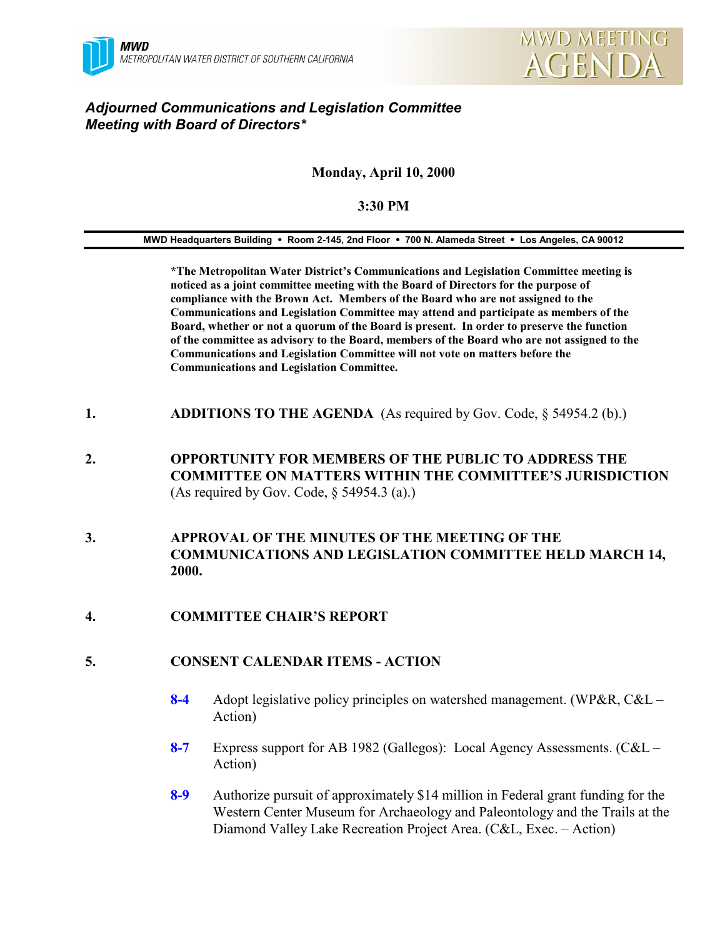

# *Adjourned Communications and Legislation Committee Meeting with Board of Directors\**

## **Monday, April 10, 2000**

#### **3:30 PM**

**MWD Headquarters Building** ! **Room 2-145, 2nd Floor** ! **700 N. Alameda Street** ! **Los Angeles, CA 90012**

**\*The Metropolitan Water District's Communications and Legislation Committee meeting is noticed as a joint committee meeting with the Board of Directors for the purpose of compliance with the Brown Act. Members of the Board who are not assigned to the Communications and Legislation Committee may attend and participate as members of the Board, whether or not a quorum of the Board is present. In order to preserve the function of the committee as advisory to the Board, members of the Board who are not assigned to the Communications and Legislation Committee will not vote on matters before the Communications and Legislation Committee.**

- **1. ADDITIONS TO THE AGENDA** (As required by Gov. Code, § 54954.2 (b).)
- **2. OPPORTUNITY FOR MEMBERS OF THE PUBLIC TO ADDRESS THE COMMITTEE ON MATTERS WITHIN THE COMMITTEE'S JURISDICTION** (As required by Gov. Code, § 54954.3 (a).)
- **3. APPROVAL OF THE MINUTES OF THE MEETING OF THE COMMUNICATIONS AND LEGISLATION COMMITTEE HELD MARCH 14, 2000.**

## **4. COMMITTEE CHAIR'S REPORT**

#### **5. CONSENT CALENDAR ITEMS - ACTION**

- **8-4** Adopt legislative policy principles on watershed management. (WP&R, C&L Action)
- **8-7** Express support for AB 1982 (Gallegos): Local Agency Assessments. (C&L Action)
- **8-9** Authorize pursuit of approximately \$14 million in Federal grant funding for the Western Center Museum for Archaeology and Paleontology and the Trails at the Diamond Valley Lake Recreation Project Area. (C&L, Exec. – Action)